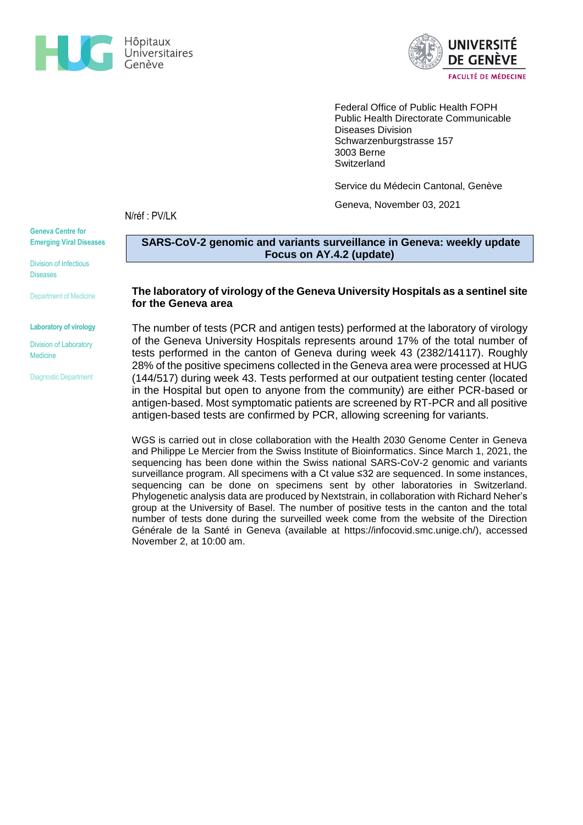



Federal Office of Public Health FOPH Public Health Directorate Communicable Diseases Division Schwarzenburgstrasse 157 3003 Berne **Switzerland** 

Service du Médecin Cantonal, Genève

Geneva, November 03, 2021

N/réf : PV/LK

**Geneva Centre for Emerging Viral Diseases**

Division of Infectious Diseases

Department of Medicine

#### **Laboratory of virology**

### Division of Laboratory Medicine

Diagnostic Department

**SARS-CoV-2 genomic and variants surveillance in Geneva: weekly update Focus on AY.4.2 (update)**

## **The laboratory of virology of the Geneva University Hospitals as a sentinel site for the Geneva area**

The number of tests (PCR and antigen tests) performed at the laboratory of virology of the Geneva University Hospitals represents around 17% of the total number of tests performed in the canton of Geneva during week 43 (2382/14117). Roughly 28% of the positive specimens collected in the Geneva area were processed at HUG (144/517) during week 43. Tests performed at our outpatient testing center (located in the Hospital but open to anyone from the community) are either PCR-based or antigen-based. Most symptomatic patients are screened by RT-PCR and all positive antigen-based tests are confirmed by PCR, allowing screening for variants.

WGS is carried out in close collaboration with the Health 2030 Genome Center in Geneva and Philippe Le Mercier from the Swiss Institute of Bioinformatics. Since March 1, 2021, the sequencing has been done within the Swiss national SARS-CoV-2 genomic and variants surveillance program. All specimens with a Ct value ≤32 are sequenced. In some instances, sequencing can be done on specimens sent by other laboratories in Switzerland. Phylogenetic analysis data are produced by Nextstrain, in collaboration with Richard Neher's group at the University of Basel. The number of positive tests in the canton and the total number of tests done during the surveilled week come from the website of the Direction Générale de la Santé in Geneva (available at [https://infocovid.smc.unige.ch/\)](https://infocovid.smc.unige.ch/), accessed November 2, at 10:00 am.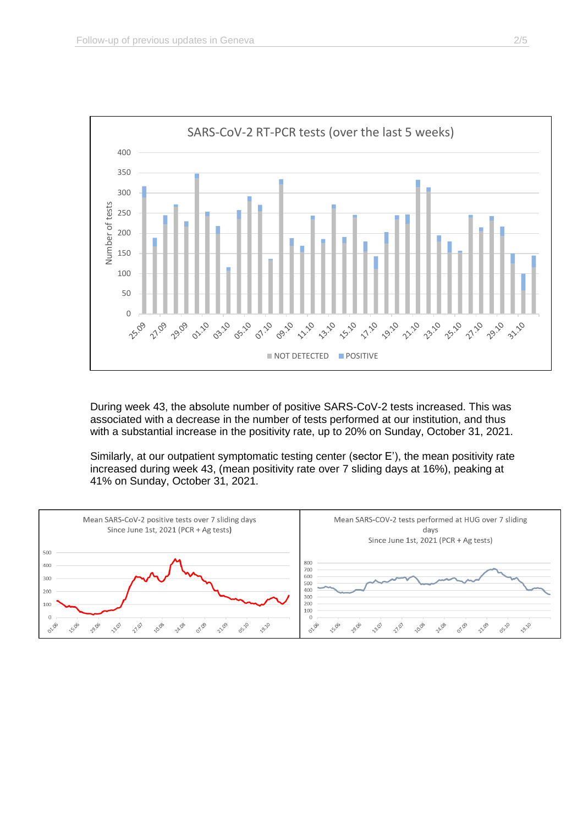

During week 43, the absolute number of positive SARS-CoV-2 tests increased. This was associated with a decrease in the number of tests performed at our institution, and thus with a substantial increase in the positivity rate, up to 20% on Sunday, October 31, 2021.

Similarly, at our outpatient symptomatic testing center (sector E'), the mean positivity rate increased during week 43, (mean positivity rate over 7 sliding days at 16%), peaking at 41% on Sunday, October 31, 2021.

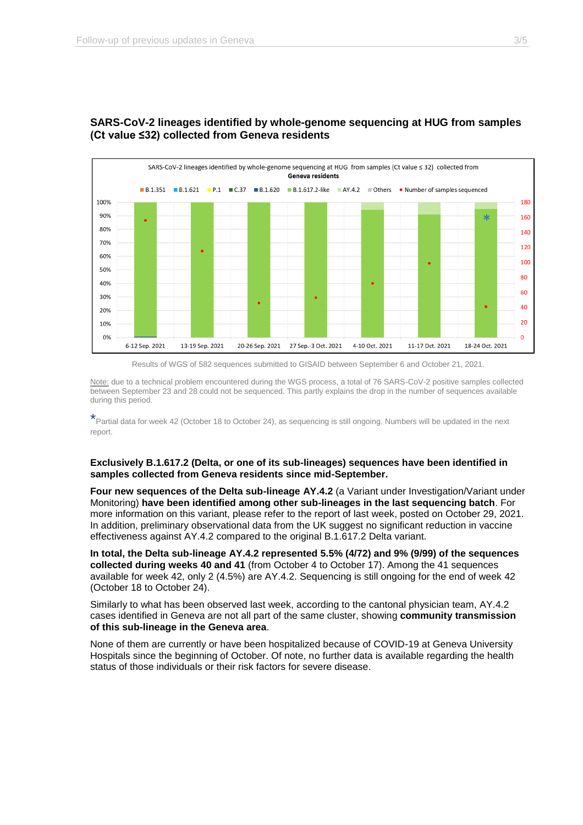

# **SARS-CoV-2 lineages identified by whole-genome sequencing at HUG from samples (Ct value ≤32) collected from Geneva residents**



Note: due to a technical problem encountered during the WGS process, a total of 76 SARS-CoV-2 positive samples collected between September 23 and 28 could not be sequenced. This partly explains the drop in the number of sequences available during this period.

\*Partial data for week 42 (October 18 to October 24), as sequencing is still ongoing. Numbers will be updated in the next report.

### **Exclusively B.1.617.2 (Delta, or one of its sub-lineages) sequences have been identified in samples collected from Geneva residents since mid-September.**

**Four new sequences of the Delta sub-lineage AY.4.2** (a Variant under Investigation/Variant under Monitoring) **have been identified among other sub-lineages in the last sequencing batch**. For more information on this variant, please refer to the report of last week, posted on October 29, 2021. In addition, preliminary observational data from the UK suggest no significant reduction in vaccine effectiveness against AY.4.2 compared to the original B.1.617.2 Delta variant.

**In total, the Delta sub-lineage AY.4.2 represented 5.5% (4/72) and 9% (9/99) of the sequences collected during weeks 40 and 41** (from October 4 to October 17). Among the 41 sequences available for week 42, only 2 (4.5%) are AY.4.2. Sequencing is still ongoing for the end of week 42 (October 18 to October 24).

Similarly to what has been observed last week, according to the cantonal physician team, AY.4.2 cases identified in Geneva are not all part of the same cluster, showing **community transmission of this sub-lineage in the Geneva area**.

None of them are currently or have been hospitalized because of COVID-19 at Geneva University Hospitals since the beginning of October. Of note, no further data is available regarding the health status of those individuals or their risk factors for severe disease.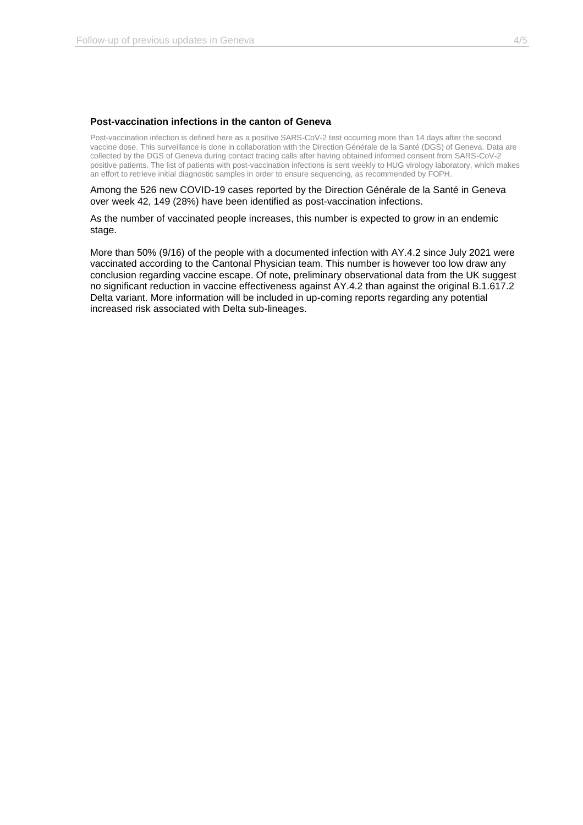### **Post-vaccination infections in the canton of Geneva**

Post-vaccination infection is defined here as a positive SARS-CoV-2 test occurring more than 14 days after the second vaccine dose. This surveillance is done in collaboration with the Direction Générale de la Santé (DGS) of Geneva. Data are collected by the DGS of Geneva during contact tracing calls after having obtained informed consent from SARS-CoV-2 positive patients. The list of patients with post-vaccination infections is sent weekly to HUG virology laboratory, which makes an effort to retrieve initial diagnostic samples in order to ensure sequencing, as recommended by FOPH.

Among the 526 new COVID-19 cases reported by the Direction Générale de la Santé in Geneva over week 42, 149 (28%) have been identified as post-vaccination infections.

As the number of vaccinated people increases, this number is expected to grow in an endemic stage.

More than 50% (9/16) of the people with a documented infection with AY.4.2 since July 2021 were vaccinated according to the Cantonal Physician team. This number is however too low draw any conclusion regarding vaccine escape. Of note, preliminary observational data from the UK suggest no significant reduction in vaccine effectiveness against AY.4.2 than against the original B.1.617.2 Delta variant. More information will be included in up-coming reports regarding any potential increased risk associated with Delta sub-lineages.